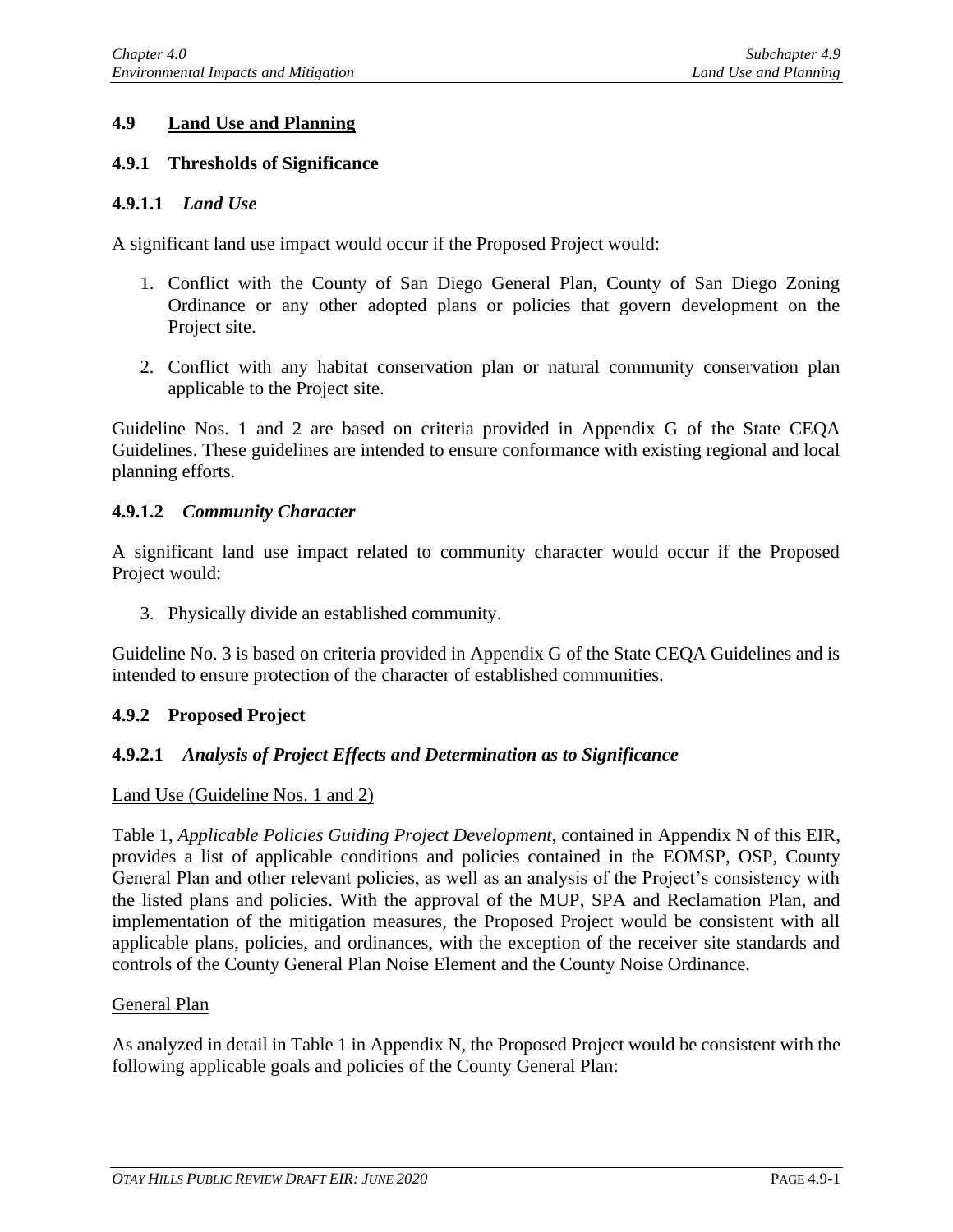# **4.9 Land Use and Planning**

### **4.9.1 Thresholds of Significance**

### **4.9.1.1** *Land Use*

A significant land use impact would occur if the Proposed Project would:

- 1. Conflict with the County of San Diego General Plan, County of San Diego Zoning Ordinance or any other adopted plans or policies that govern development on the Project site.
- 2. Conflict with any habitat conservation plan or natural community conservation plan applicable to the Project site.

Guideline Nos. 1 and 2 are based on criteria provided in Appendix G of the State CEQA Guidelines. These guidelines are intended to ensure conformance with existing regional and local planning efforts.

#### **4.9.1.2** *Community Character*

A significant land use impact related to community character would occur if the Proposed Project would:

3. Physically divide an established community.

Guideline No. 3 is based on criteria provided in Appendix G of the State CEQA Guidelines and is intended to ensure protection of the character of established communities.

#### **4.9.2 Proposed Project**

# **4.9.2.1** *Analysis of Project Effects and Determination as to Significance*

#### Land Use (Guideline Nos. 1 and 2)

Table 1, *Applicable Policies Guiding Project Development*, contained in Appendix N of this EIR, provides a list of applicable conditions and policies contained in the EOMSP, OSP, County General Plan and other relevant policies, as well as an analysis of the Project's consistency with the listed plans and policies. With the approval of the MUP, SPA and Reclamation Plan, and implementation of the mitigation measures, the Proposed Project would be consistent with all applicable plans, policies, and ordinances, with the exception of the receiver site standards and controls of the County General Plan Noise Element and the County Noise Ordinance.

#### General Plan

As analyzed in detail in Table 1 in Appendix N, the Proposed Project would be consistent with the following applicable goals and policies of the County General Plan: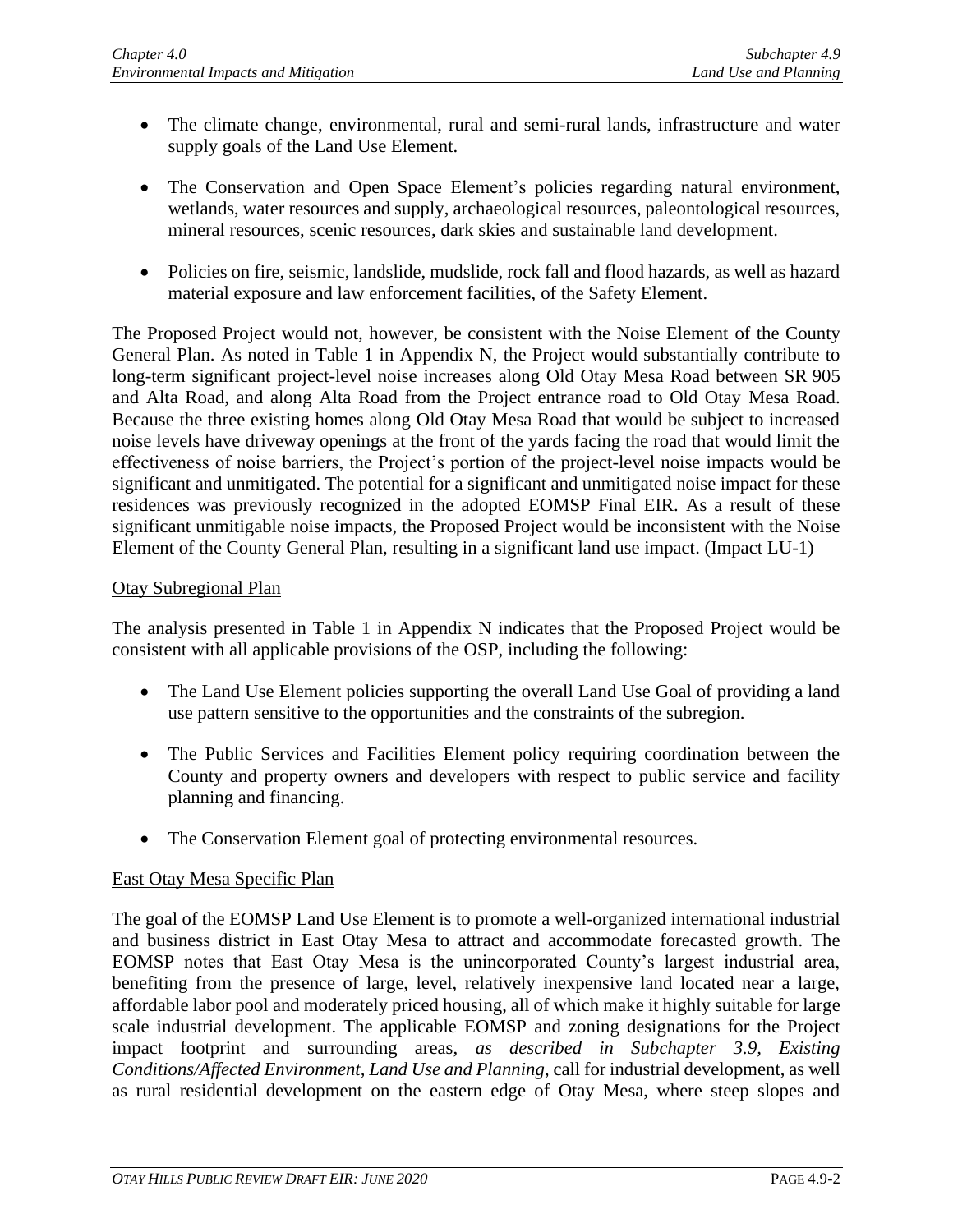- The climate change, environmental, rural and semi-rural lands, infrastructure and water supply goals of the Land Use Element.
- The Conservation and Open Space Element's policies regarding natural environment, wetlands, water resources and supply, archaeological resources, paleontological resources, mineral resources, scenic resources, dark skies and sustainable land development.
- Policies on fire, seismic, landslide, mudslide, rock fall and flood hazards, as well as hazard material exposure and law enforcement facilities, of the Safety Element.

The Proposed Project would not, however, be consistent with the Noise Element of the County General Plan. As noted in Table 1 in Appendix N, the Project would substantially contribute to long-term significant project-level noise increases along Old Otay Mesa Road between SR 905 and Alta Road, and along Alta Road from the Project entrance road to Old Otay Mesa Road. Because the three existing homes along Old Otay Mesa Road that would be subject to increased noise levels have driveway openings at the front of the yards facing the road that would limit the effectiveness of noise barriers, the Project's portion of the project-level noise impacts would be significant and unmitigated. The potential for a significant and unmitigated noise impact for these residences was previously recognized in the adopted EOMSP Final EIR. As a result of these significant unmitigable noise impacts, the Proposed Project would be inconsistent with the Noise Element of the County General Plan, resulting in a significant land use impact. (Impact LU-1)

# Otay Subregional Plan

The analysis presented in Table 1 in Appendix N indicates that the Proposed Project would be consistent with all applicable provisions of the OSP, including the following:

- The Land Use Element policies supporting the overall Land Use Goal of providing a land use pattern sensitive to the opportunities and the constraints of the subregion.
- The Public Services and Facilities Element policy requiring coordination between the County and property owners and developers with respect to public service and facility planning and financing.
- The Conservation Element goal of protecting environmental resources.

# East Otay Mesa Specific Plan

The goal of the EOMSP Land Use Element is to promote a well-organized international industrial and business district in East Otay Mesa to attract and accommodate forecasted growth. The EOMSP notes that East Otay Mesa is the unincorporated County's largest industrial area, benefiting from the presence of large, level, relatively inexpensive land located near a large, affordable labor pool and moderately priced housing, all of which make it highly suitable for large scale industrial development. The applicable EOMSP and zoning designations for the Project impact footprint and surrounding areas, *as described in Subchapter 3.9, Existing Conditions/Affected Environment, Land Use and Planning*, call for industrial development, as well as rural residential development on the eastern edge of Otay Mesa, where steep slopes and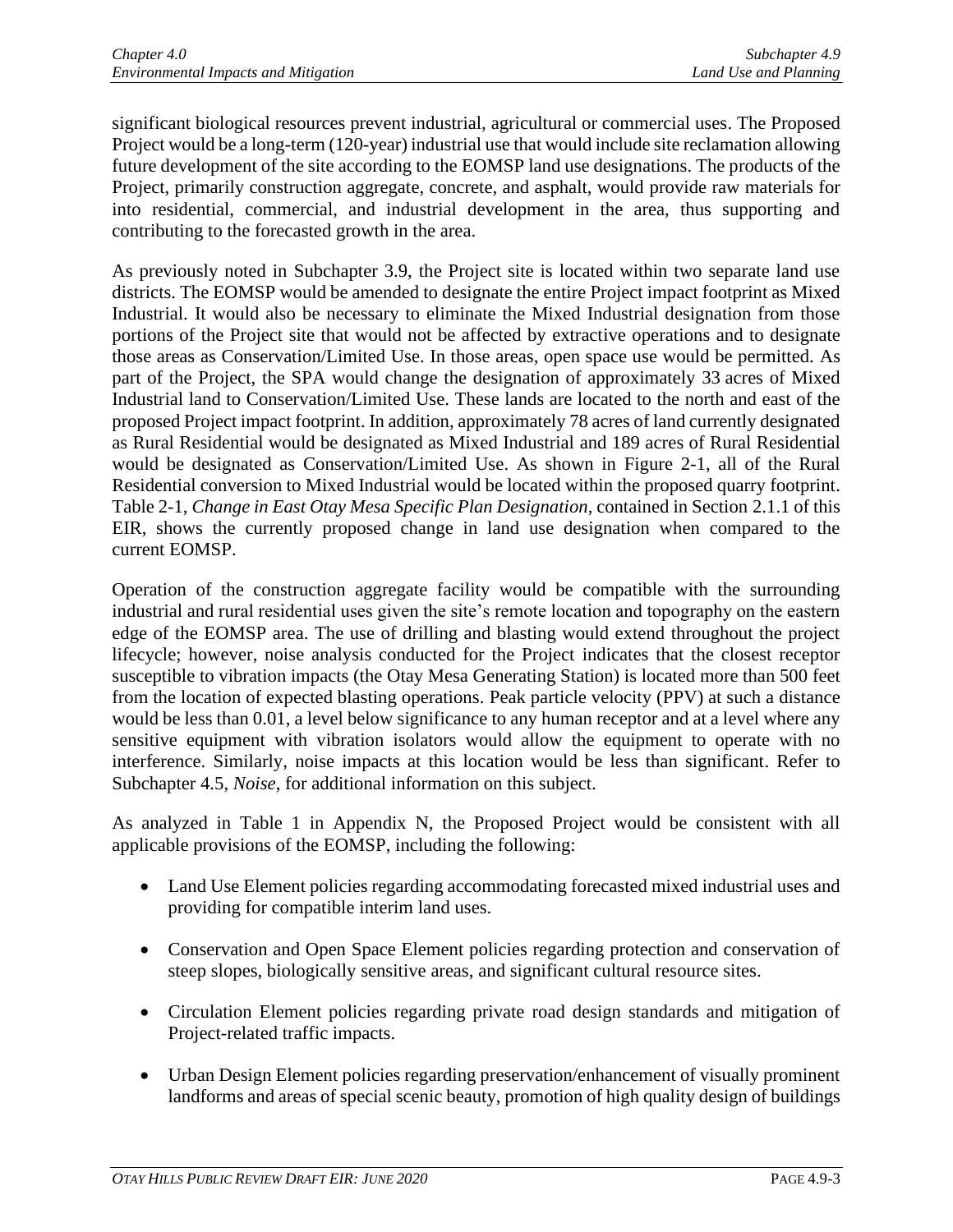significant biological resources prevent industrial, agricultural or commercial uses. The Proposed Project would be a long-term (120-year) industrial use that would include site reclamation allowing future development of the site according to the EOMSP land use designations. The products of the Project, primarily construction aggregate, concrete, and asphalt, would provide raw materials for into residential, commercial, and industrial development in the area, thus supporting and contributing to the forecasted growth in the area.

As previously noted in Subchapter 3.9, the Project site is located within two separate land use districts. The EOMSP would be amended to designate the entire Project impact footprint as Mixed Industrial. It would also be necessary to eliminate the Mixed Industrial designation from those portions of the Project site that would not be affected by extractive operations and to designate those areas as Conservation/Limited Use. In those areas, open space use would be permitted. As part of the Project, the SPA would change the designation of approximately 33 acres of Mixed Industrial land to Conservation/Limited Use. These lands are located to the north and east of the proposed Project impact footprint. In addition, approximately 78 acres of land currently designated as Rural Residential would be designated as Mixed Industrial and 189 acres of Rural Residential would be designated as Conservation/Limited Use. As shown in Figure 2-1, all of the Rural Residential conversion to Mixed Industrial would be located within the proposed quarry footprint. Table 2-1, *Change in East Otay Mesa Specific Plan Designation,* contained in Section 2.1.1 of this EIR, shows the currently proposed change in land use designation when compared to the current EOMSP.

Operation of the construction aggregate facility would be compatible with the surrounding industrial and rural residential uses given the site's remote location and topography on the eastern edge of the EOMSP area. The use of drilling and blasting would extend throughout the project lifecycle; however, noise analysis conducted for the Project indicates that the closest receptor susceptible to vibration impacts (the Otay Mesa Generating Station) is located more than 500 feet from the location of expected blasting operations. Peak particle velocity (PPV) at such a distance would be less than 0.01, a level below significance to any human receptor and at a level where any sensitive equipment with vibration isolators would allow the equipment to operate with no interference. Similarly, noise impacts at this location would be less than significant. Refer to Subchapter 4.5, *Noise*, for additional information on this subject.

As analyzed in Table 1 in Appendix N, the Proposed Project would be consistent with all applicable provisions of the EOMSP, including the following:

- Land Use Element policies regarding accommodating forecasted mixed industrial uses and providing for compatible interim land uses.
- Conservation and Open Space Element policies regarding protection and conservation of steep slopes, biologically sensitive areas, and significant cultural resource sites.
- Circulation Element policies regarding private road design standards and mitigation of Project-related traffic impacts.
- Urban Design Element policies regarding preservation/enhancement of visually prominent landforms and areas of special scenic beauty, promotion of high quality design of buildings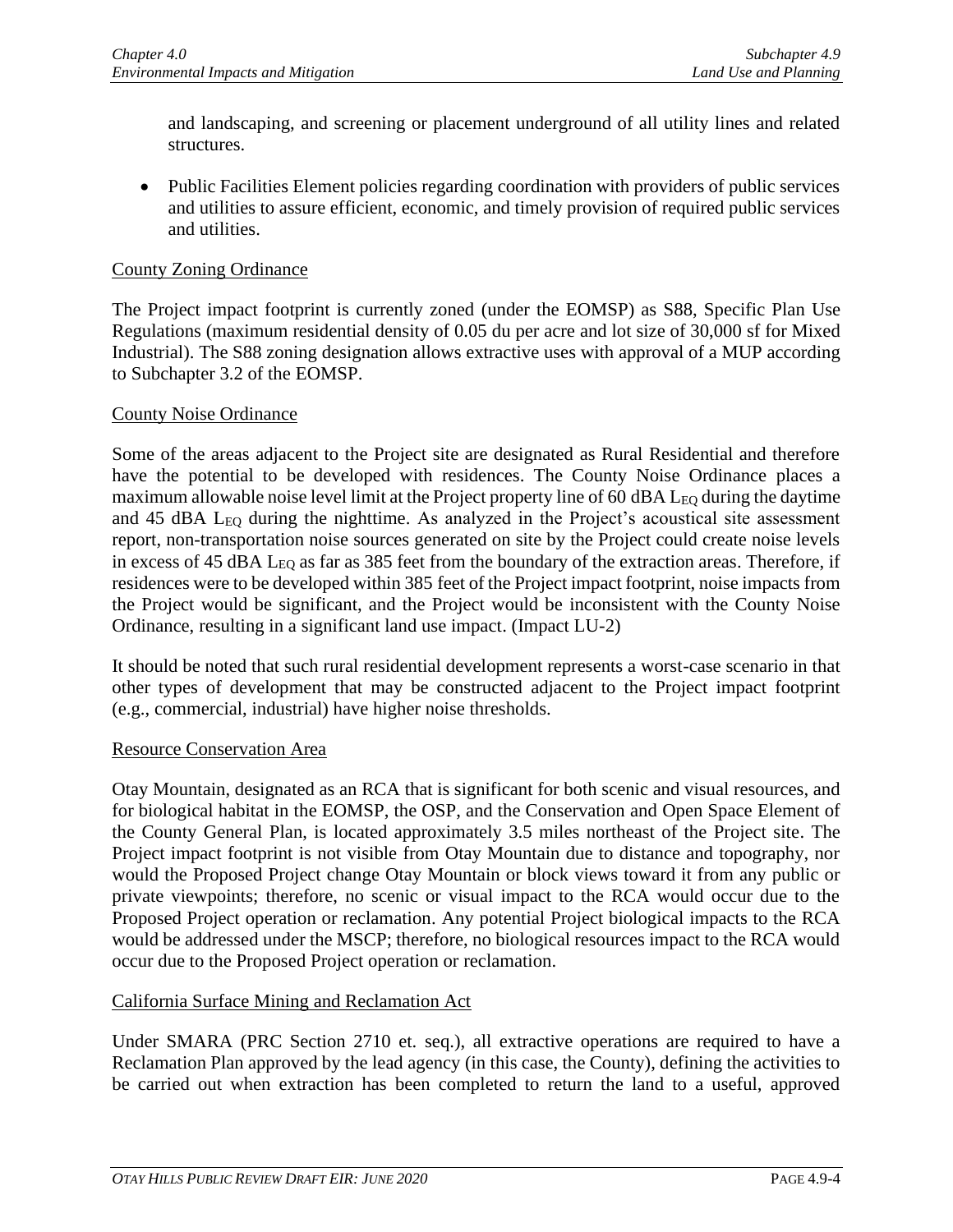and landscaping, and screening or placement underground of all utility lines and related structures.

• Public Facilities Element policies regarding coordination with providers of public services and utilities to assure efficient, economic, and timely provision of required public services and utilities.

### County Zoning Ordinance

The Project impact footprint is currently zoned (under the EOMSP) as S88, Specific Plan Use Regulations (maximum residential density of 0.05 du per acre and lot size of 30,000 sf for Mixed Industrial). The S88 zoning designation allows extractive uses with approval of a MUP according to Subchapter 3.2 of the EOMSP.

#### County Noise Ordinance

Some of the areas adjacent to the Project site are designated as Rural Residential and therefore have the potential to be developed with residences. The County Noise Ordinance places a maximum allowable noise level limit at the Project property line of 60 dBA  $\rm L_{EO}$  during the daytime and 45 dBA L<sub>EQ</sub> during the nighttime. As analyzed in the Project's acoustical site assessment report, non-transportation noise sources generated on site by the Project could create noise levels in excess of 45 dBA L<sub>EQ</sub> as far as 385 feet from the boundary of the extraction areas. Therefore, if residences were to be developed within 385 feet of the Project impact footprint, noise impacts from the Project would be significant, and the Project would be inconsistent with the County Noise Ordinance, resulting in a significant land use impact. (Impact LU-2)

It should be noted that such rural residential development represents a worst-case scenario in that other types of development that may be constructed adjacent to the Project impact footprint (e.g., commercial, industrial) have higher noise thresholds.

#### Resource Conservation Area

Otay Mountain, designated as an RCA that is significant for both scenic and visual resources, and for biological habitat in the EOMSP, the OSP, and the Conservation and Open Space Element of the County General Plan, is located approximately 3.5 miles northeast of the Project site. The Project impact footprint is not visible from Otay Mountain due to distance and topography, nor would the Proposed Project change Otay Mountain or block views toward it from any public or private viewpoints; therefore, no scenic or visual impact to the RCA would occur due to the Proposed Project operation or reclamation. Any potential Project biological impacts to the RCA would be addressed under the MSCP; therefore, no biological resources impact to the RCA would occur due to the Proposed Project operation or reclamation.

#### California Surface Mining and Reclamation Act

Under SMARA (PRC Section 2710 et. seq.), all extractive operations are required to have a Reclamation Plan approved by the lead agency (in this case, the County), defining the activities to be carried out when extraction has been completed to return the land to a useful, approved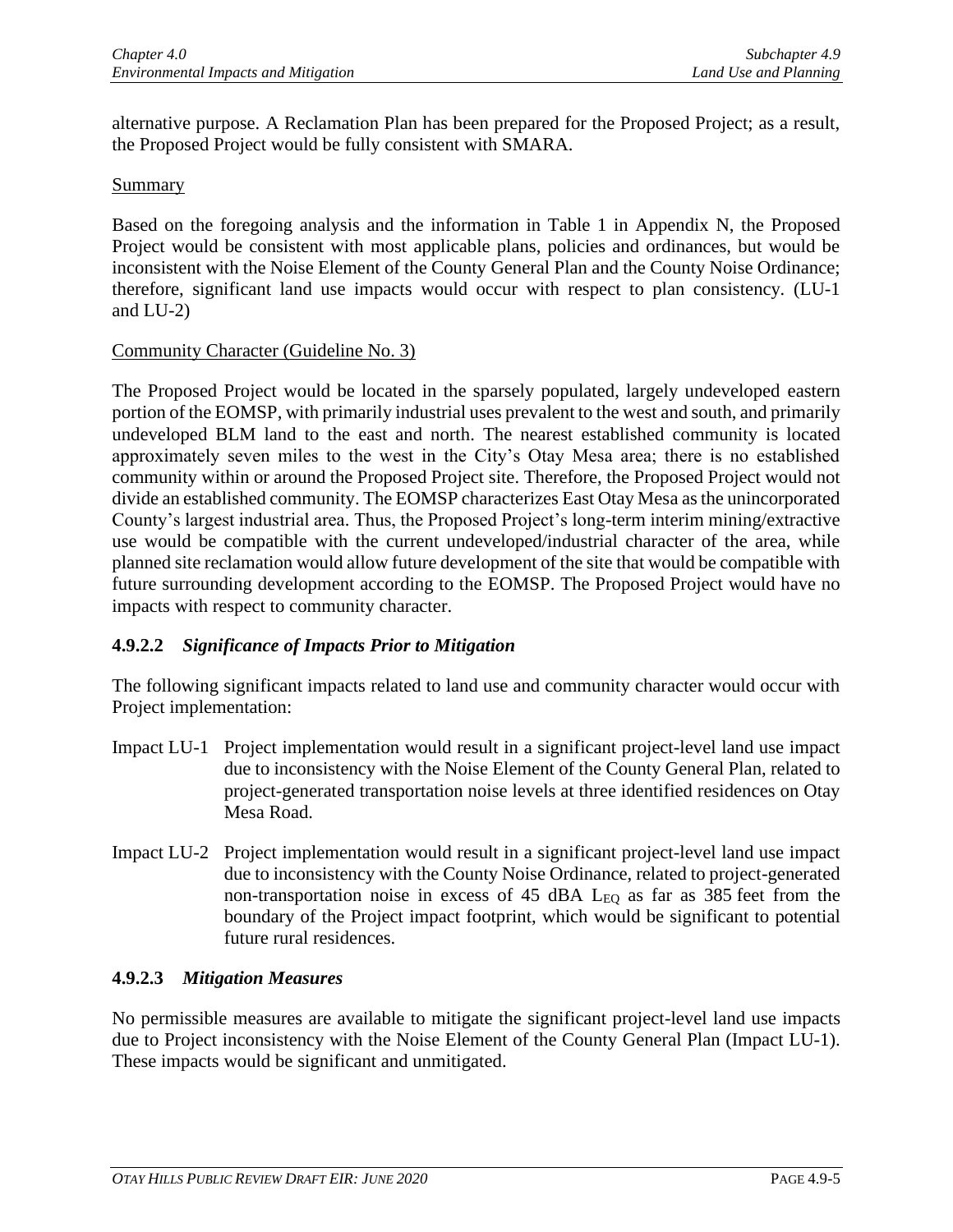alternative purpose. A Reclamation Plan has been prepared for the Proposed Project; as a result, the Proposed Project would be fully consistent with SMARA.

#### **Summary**

Based on the foregoing analysis and the information in Table 1 in Appendix N, the Proposed Project would be consistent with most applicable plans, policies and ordinances, but would be inconsistent with the Noise Element of the County General Plan and the County Noise Ordinance; therefore, significant land use impacts would occur with respect to plan consistency*.* (LU-1 and LU-2)

### Community Character (Guideline No. 3)

The Proposed Project would be located in the sparsely populated, largely undeveloped eastern portion of the EOMSP, with primarily industrial uses prevalent to the west and south, and primarily undeveloped BLM land to the east and north. The nearest established community is located approximately seven miles to the west in the City's Otay Mesa area; there is no established community within or around the Proposed Project site. Therefore, the Proposed Project would not divide an established community. The EOMSP characterizes East Otay Mesa as the unincorporated County's largest industrial area. Thus, the Proposed Project's long-term interim mining/extractive use would be compatible with the current undeveloped/industrial character of the area, while planned site reclamation would allow future development of the site that would be compatible with future surrounding development according to the EOMSP. The Proposed Project would have no impacts with respect to community character.

# **4.9.2.2** *Significance of Impacts Prior to Mitigation*

The following significant impacts related to land use and community character would occur with Project implementation:

- Impact LU-1 Project implementation would result in a significant project-level land use impact due to inconsistency with the Noise Element of the County General Plan, related to project-generated transportation noise levels at three identified residences on Otay Mesa Road.
- Impact LU-2 Project implementation would result in a significant project-level land use impact due to inconsistency with the County Noise Ordinance, related to project-generated non-transportation noise in excess of 45 dBA  $L_{EQ}$  as far as 385 feet from the boundary of the Project impact footprint, which would be significant to potential future rural residences.

# **4.9.2.3** *Mitigation Measures*

No permissible measures are available to mitigate the significant project-level land use impacts due to Project inconsistency with the Noise Element of the County General Plan (Impact LU-1). These impacts would be significant and unmitigated.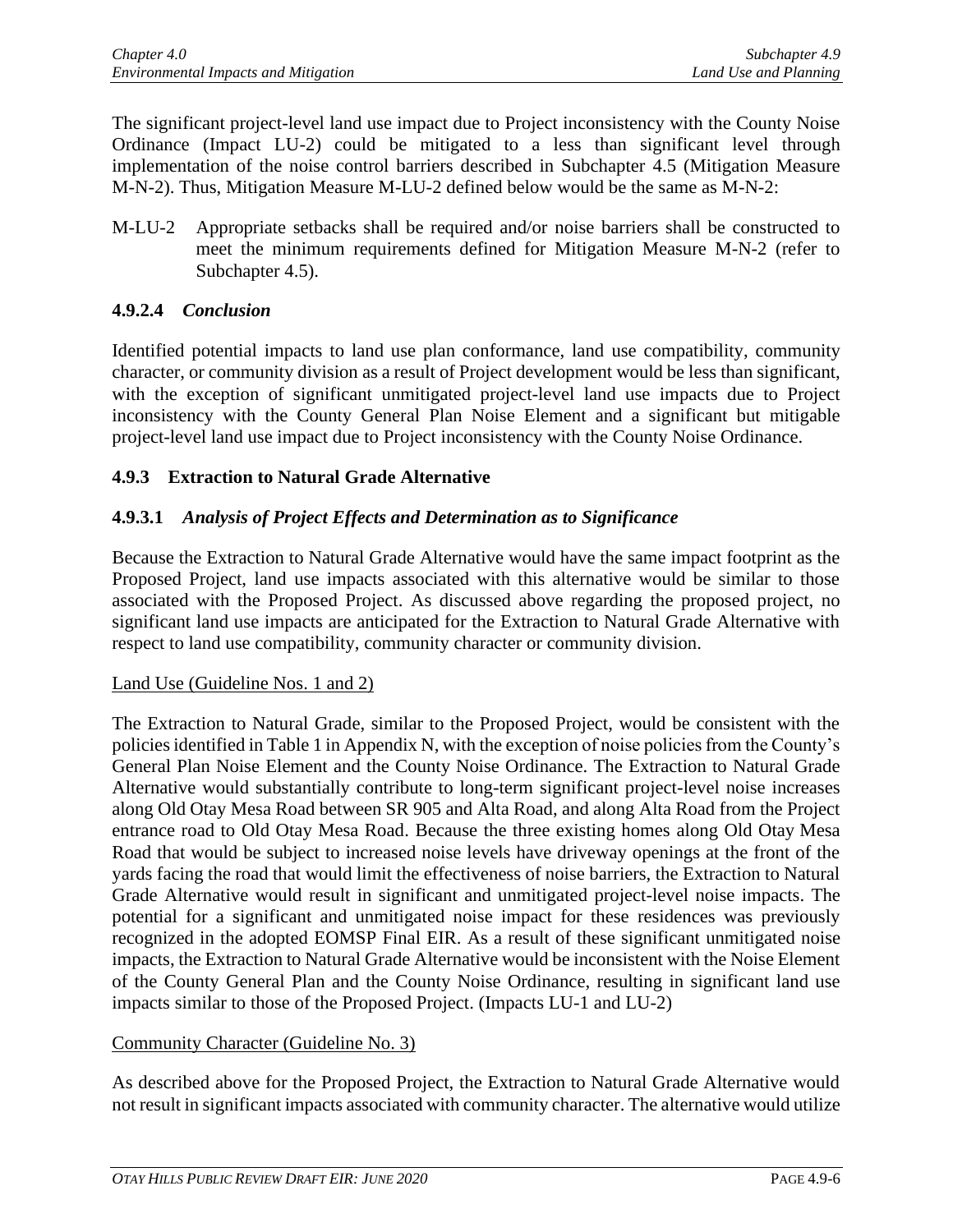The significant project-level land use impact due to Project inconsistency with the County Noise Ordinance (Impact LU-2) could be mitigated to a less than significant level through implementation of the noise control barriers described in Subchapter 4.5 (Mitigation Measure M-N-2). Thus, Mitigation Measure M-LU-2 defined below would be the same as M-N-2:

M-LU-2 Appropriate setbacks shall be required and/or noise barriers shall be constructed to meet the minimum requirements defined for Mitigation Measure M-N-2 (refer to Subchapter 4.5).

# **4.9.2.4** *Conclusion*

Identified potential impacts to land use plan conformance, land use compatibility, community character, or community division as a result of Project development would be less than significant, with the exception of significant unmitigated project-level land use impacts due to Project inconsistency with the County General Plan Noise Element and a significant but mitigable project-level land use impact due to Project inconsistency with the County Noise Ordinance.

# **4.9.3 Extraction to Natural Grade Alternative**

# **4.9.3.1** *Analysis of Project Effects and Determination as to Significance*

Because the Extraction to Natural Grade Alternative would have the same impact footprint as the Proposed Project, land use impacts associated with this alternative would be similar to those associated with the Proposed Project. As discussed above regarding the proposed project, no significant land use impacts are anticipated for the Extraction to Natural Grade Alternative with respect to land use compatibility, community character or community division.

#### Land Use (Guideline Nos. 1 and 2)

The Extraction to Natural Grade, similar to the Proposed Project, would be consistent with the policies identified in Table 1 in Appendix N, with the exception of noise policies from the County's General Plan Noise Element and the County Noise Ordinance. The Extraction to Natural Grade Alternative would substantially contribute to long-term significant project-level noise increases along Old Otay Mesa Road between SR 905 and Alta Road, and along Alta Road from the Project entrance road to Old Otay Mesa Road. Because the three existing homes along Old Otay Mesa Road that would be subject to increased noise levels have driveway openings at the front of the yards facing the road that would limit the effectiveness of noise barriers, the Extraction to Natural Grade Alternative would result in significant and unmitigated project-level noise impacts. The potential for a significant and unmitigated noise impact for these residences was previously recognized in the adopted EOMSP Final EIR. As a result of these significant unmitigated noise impacts, the Extraction to Natural Grade Alternative would be inconsistent with the Noise Element of the County General Plan and the County Noise Ordinance, resulting in significant land use impacts similar to those of the Proposed Project. (Impacts LU-1 and LU-2)

# Community Character (Guideline No. 3)

As described above for the Proposed Project, the Extraction to Natural Grade Alternative would not result in significant impacts associated with community character. The alternative would utilize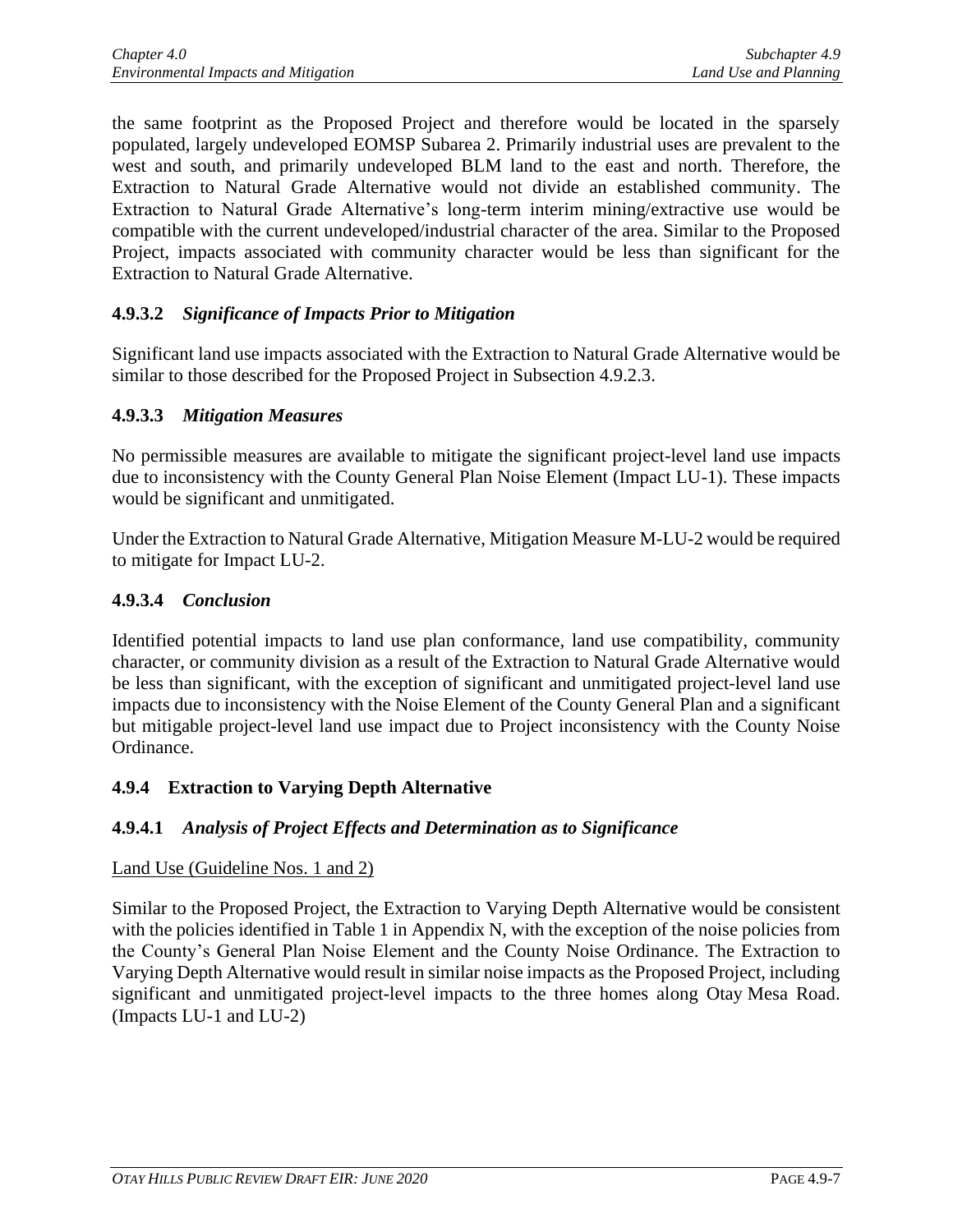the same footprint as the Proposed Project and therefore would be located in the sparsely populated, largely undeveloped EOMSP Subarea 2. Primarily industrial uses are prevalent to the west and south, and primarily undeveloped BLM land to the east and north. Therefore, the Extraction to Natural Grade Alternative would not divide an established community. The Extraction to Natural Grade Alternative's long-term interim mining/extractive use would be compatible with the current undeveloped/industrial character of the area. Similar to the Proposed Project, impacts associated with community character would be less than significant for the Extraction to Natural Grade Alternative.

# **4.9.3.2** *Significance of Impacts Prior to Mitigation*

Significant land use impacts associated with the Extraction to Natural Grade Alternative would be similar to those described for the Proposed Project in Subsection 4.9.2.3.

### **4.9.3.3** *Mitigation Measures*

No permissible measures are available to mitigate the significant project-level land use impacts due to inconsistency with the County General Plan Noise Element (Impact LU-1). These impacts would be significant and unmitigated.

Under the Extraction to Natural Grade Alternative, Mitigation Measure M-LU-2 would be required to mitigate for Impact LU-2.

# **4.9.3.4** *Conclusion*

Identified potential impacts to land use plan conformance, land use compatibility, community character, or community division as a result of the Extraction to Natural Grade Alternative would be less than significant, with the exception of significant and unmitigated project-level land use impacts due to inconsistency with the Noise Element of the County General Plan and a significant but mitigable project-level land use impact due to Project inconsistency with the County Noise Ordinance.

# **4.9.4 Extraction to Varying Depth Alternative**

# **4.9.4.1** *Analysis of Project Effects and Determination as to Significance*

#### Land Use (Guideline Nos. 1 and 2)

Similar to the Proposed Project, the Extraction to Varying Depth Alternative would be consistent with the policies identified in Table 1 in Appendix N, with the exception of the noise policies from the County's General Plan Noise Element and the County Noise Ordinance. The Extraction to Varying Depth Alternative would result in similar noise impacts as the Proposed Project, including significant and unmitigated project-level impacts to the three homes along Otay Mesa Road. (Impacts LU-1 and LU-2)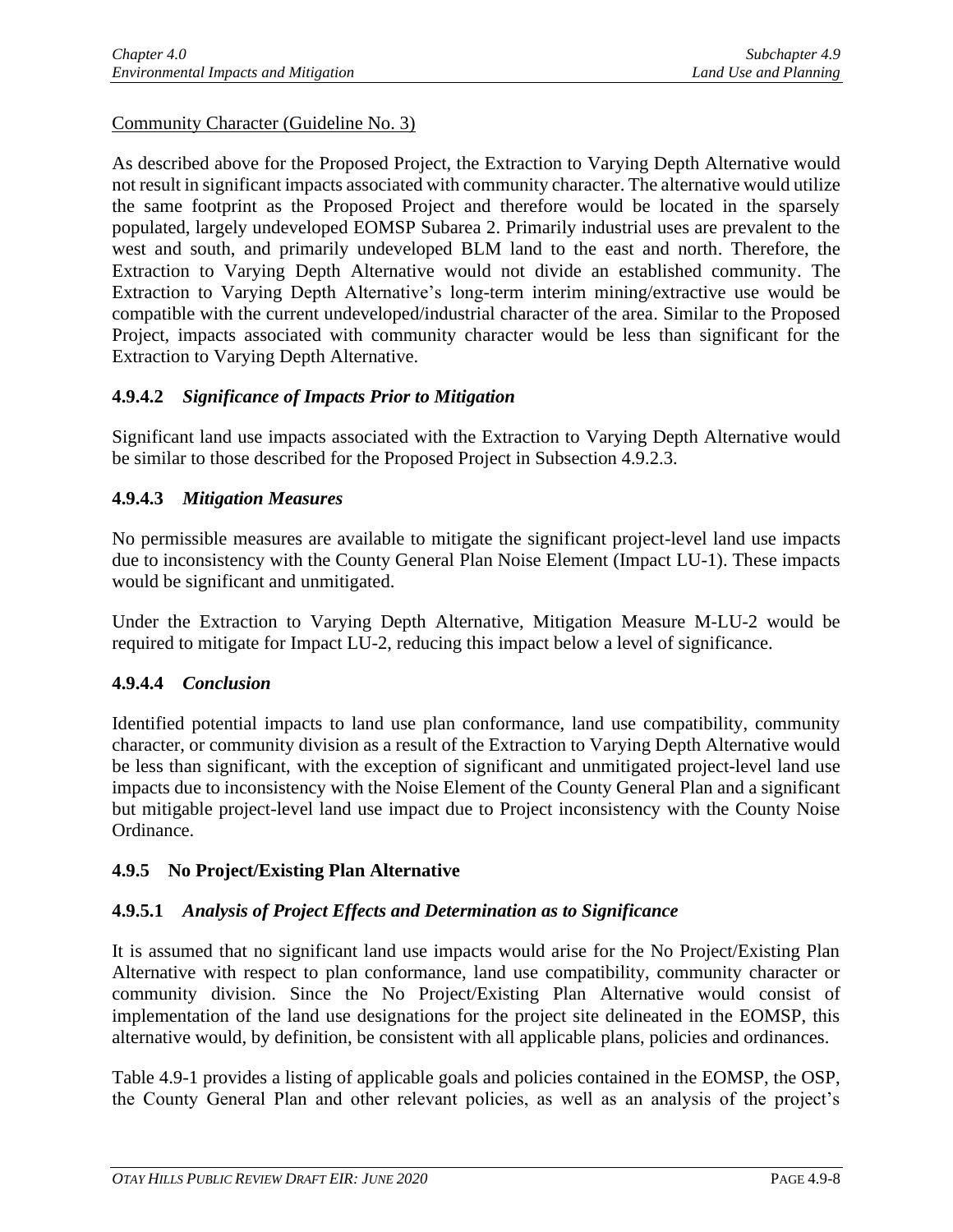Community Character (Guideline No. 3)

As described above for the Proposed Project, the Extraction to Varying Depth Alternative would not result in significant impacts associated with community character. The alternative would utilize the same footprint as the Proposed Project and therefore would be located in the sparsely populated, largely undeveloped EOMSP Subarea 2. Primarily industrial uses are prevalent to the west and south, and primarily undeveloped BLM land to the east and north. Therefore, the Extraction to Varying Depth Alternative would not divide an established community. The Extraction to Varying Depth Alternative's long-term interim mining/extractive use would be compatible with the current undeveloped/industrial character of the area. Similar to the Proposed Project, impacts associated with community character would be less than significant for the Extraction to Varying Depth Alternative.

# **4.9.4.2** *Significance of Impacts Prior to Mitigation*

Significant land use impacts associated with the Extraction to Varying Depth Alternative would be similar to those described for the Proposed Project in Subsection 4.9.2.3.

# **4.9.4.3** *Mitigation Measures*

No permissible measures are available to mitigate the significant project-level land use impacts due to inconsistency with the County General Plan Noise Element (Impact LU-1). These impacts would be significant and unmitigated.

Under the Extraction to Varying Depth Alternative, Mitigation Measure M-LU-2 would be required to mitigate for Impact LU-2, reducing this impact below a level of significance.

# **4.9.4.4** *Conclusion*

Identified potential impacts to land use plan conformance, land use compatibility, community character, or community division as a result of the Extraction to Varying Depth Alternative would be less than significant, with the exception of significant and unmitigated project-level land use impacts due to inconsistency with the Noise Element of the County General Plan and a significant but mitigable project-level land use impact due to Project inconsistency with the County Noise Ordinance.

# **4.9.5 No Project/Existing Plan Alternative**

# **4.9.5.1** *Analysis of Project Effects and Determination as to Significance*

It is assumed that no significant land use impacts would arise for the No Project/Existing Plan Alternative with respect to plan conformance, land use compatibility, community character or community division. Since the No Project/Existing Plan Alternative would consist of implementation of the land use designations for the project site delineated in the EOMSP, this alternative would, by definition, be consistent with all applicable plans, policies and ordinances.

Table 4.9-1 provides a listing of applicable goals and policies contained in the EOMSP, the OSP, the County General Plan and other relevant policies, as well as an analysis of the project's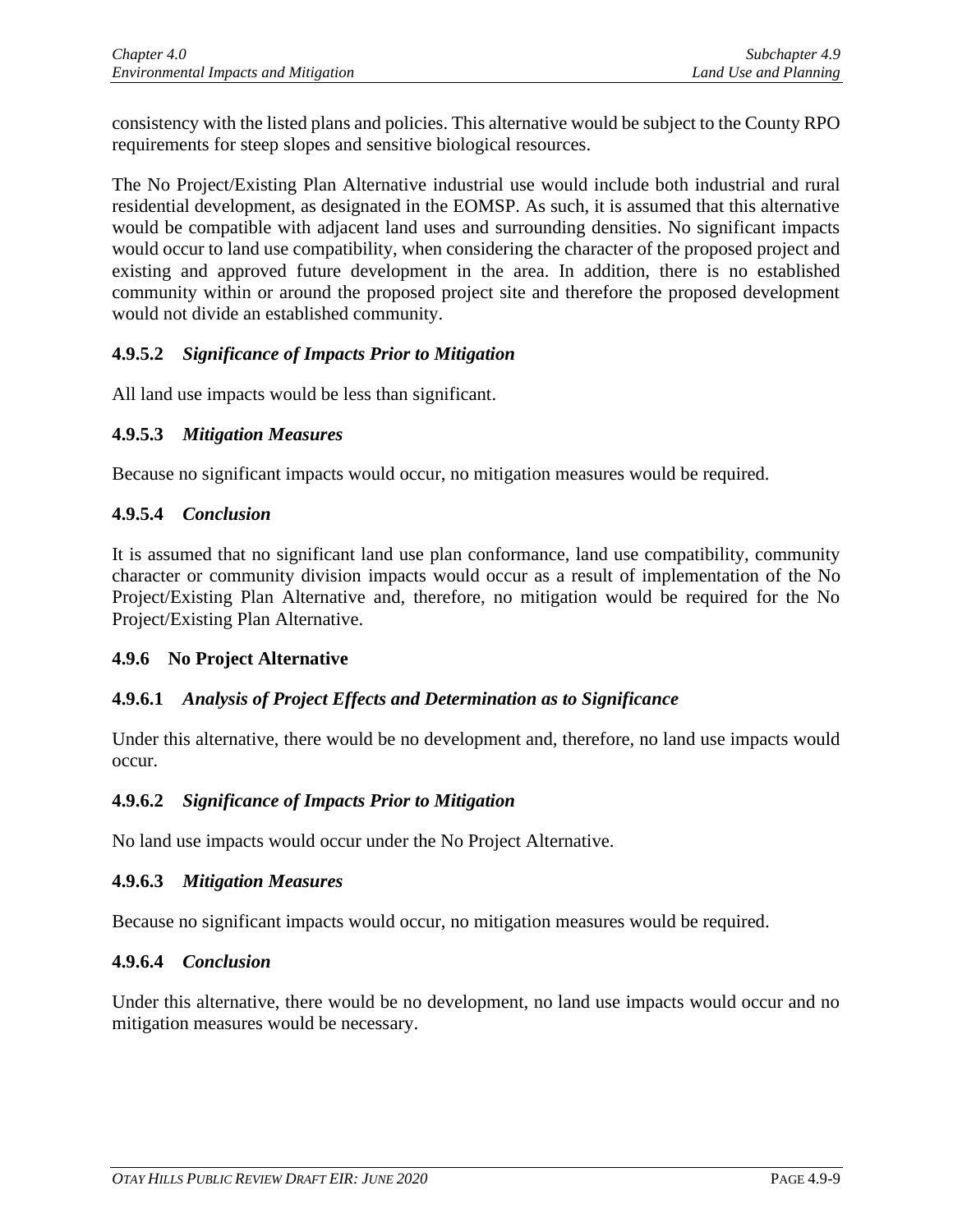consistency with the listed plans and policies. This alternative would be subject to the County RPO requirements for steep slopes and sensitive biological resources.

The No Project/Existing Plan Alternative industrial use would include both industrial and rural residential development, as designated in the EOMSP. As such, it is assumed that this alternative would be compatible with adjacent land uses and surrounding densities. No significant impacts would occur to land use compatibility, when considering the character of the proposed project and existing and approved future development in the area. In addition, there is no established community within or around the proposed project site and therefore the proposed development would not divide an established community.

# **4.9.5.2** *Significance of Impacts Prior to Mitigation*

All land use impacts would be less than significant.

### **4.9.5.3** *Mitigation Measures*

Because no significant impacts would occur, no mitigation measures would be required.

### **4.9.5.4** *Conclusion*

It is assumed that no significant land use plan conformance, land use compatibility, community character or community division impacts would occur as a result of implementation of the No Project/Existing Plan Alternative and, therefore, no mitigation would be required for the No Project/Existing Plan Alternative.

#### **4.9.6 No Project Alternative**

# **4.9.6.1** *Analysis of Project Effects and Determination as to Significance*

Under this alternative, there would be no development and, therefore, no land use impacts would occur.

#### **4.9.6.2** *Significance of Impacts Prior to Mitigation*

No land use impacts would occur under the No Project Alternative.

#### **4.9.6.3** *Mitigation Measures*

Because no significant impacts would occur, no mitigation measures would be required.

#### **4.9.6.4** *Conclusion*

Under this alternative, there would be no development, no land use impacts would occur and no mitigation measures would be necessary.